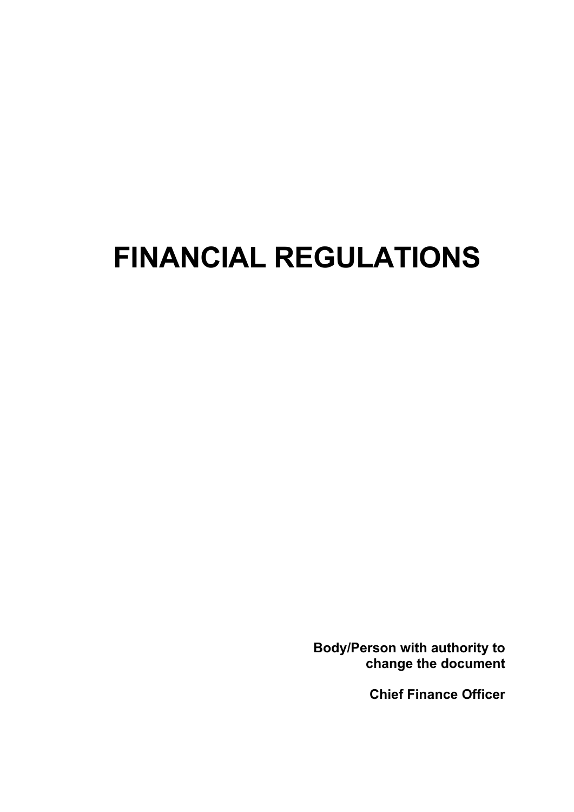# **FINANCIAL REGULATIONS**

**Body/Person with authority to change the document**

**Chief Finance Officer**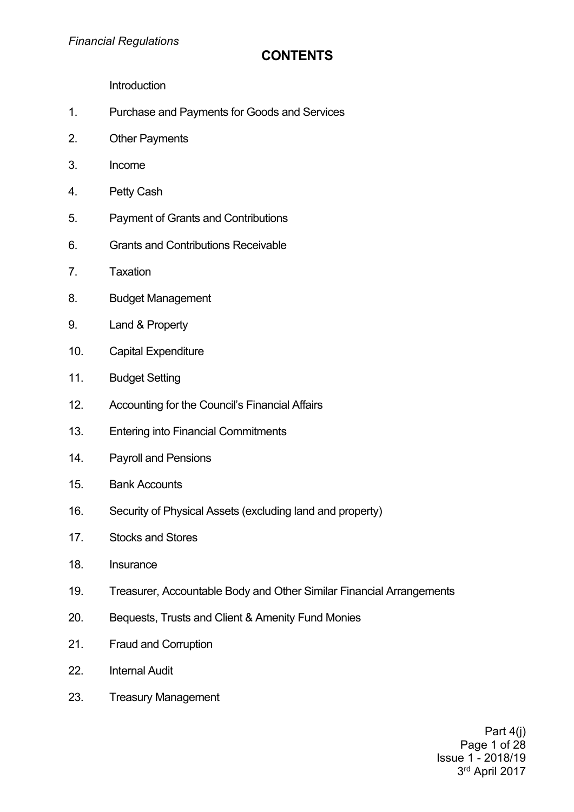# **CONTENTS**

**Introduction** 

- 1. Purchase and Payments for Goods and Services
- 2. Other Payments
- 3. Income
- 4. Petty Cash
- 5. Payment of Grants and Contributions
- 6. Grants and Contributions Receivable
- 7. Taxation
- 8. Budget Management
- 9. Land & Property
- 10. Capital Expenditure
- 11. Budget Setting
- 12. Accounting for the Council's Financial Affairs
- 13. Entering into Financial Commitments
- 14. Payroll and Pensions
- 15. Bank Accounts
- 16. Security of Physical Assets (excluding land and property)
- 17. Stocks and Stores
- 18. Insurance
- 19. Treasurer, Accountable Body and Other Similar Financial Arrangements
- 20. Bequests, Trusts and Client & Amenity Fund Monies
- 21. Fraud and Corruption
- 22. Internal Audit
- 23. Treasury Management

Part 4(j) Page 1 of 28 Issue 1 - 2018/19 3 rd April 2017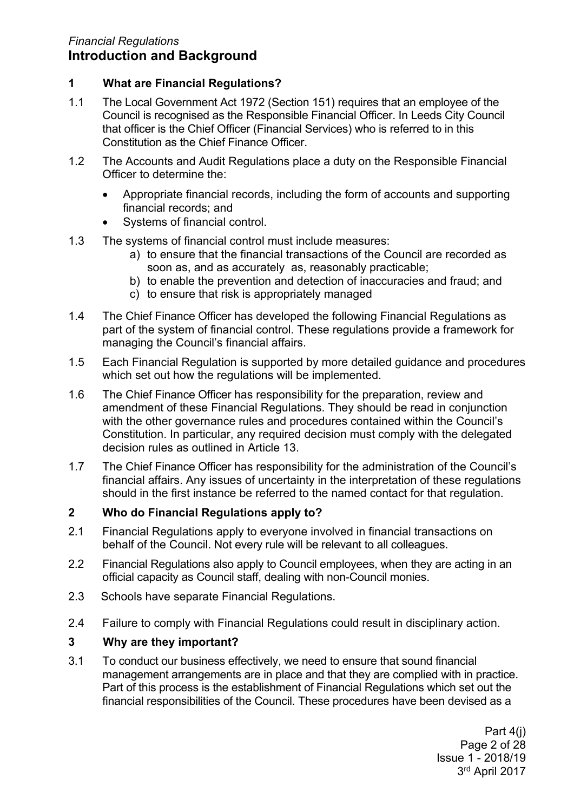### *Financial Regulations* **Introduction and Background**

#### **1 What are Financial Regulations?**

- 1.1 The Local Government Act 1972 (Section 151) requires that an employee of the Council is recognised as the Responsible Financial Officer. In Leeds City Council that officer is the Chief Officer (Financial Services) who is referred to in this Constitution as the Chief Finance Officer.
- 1.2 The Accounts and Audit Regulations place a duty on the Responsible Financial Officer to determine the:
	- Appropriate financial records, including the form of accounts and supporting financial records; and
	- Systems of financial control.
- 1.3 The systems of financial control must include measures:
	- a) to ensure that the financial transactions of the Council are recorded as soon as, and as accurately as, reasonably practicable;
	- b) to enable the prevention and detection of inaccuracies and fraud; and
	- c) to ensure that risk is appropriately managed
- 1.4 The Chief Finance Officer has developed the following Financial Regulations as part of the system of financial control. These regulations provide a framework for managing the Council's financial affairs.
- 1.5 Each Financial Regulation is supported by more detailed guidance and procedures which set out how the regulations will be implemented.
- 1.6 The Chief Finance Officer has responsibility for the preparation, review and amendment of these Financial Regulations. They should be read in conjunction with the other governance rules and procedures contained within the Council's Constitution. In particular, any required decision must comply with the delegated decision rules as outlined in Article 13.
- 1.7 The Chief Finance Officer has responsibility for the administration of the Council's financial affairs. Any issues of uncertainty in the interpretation of these regulations should in the first instance be referred to the named contact for that regulation.

### **2 Who do Financial Regulations apply to?**

- 2.1 Financial Regulations apply to everyone involved in financial transactions on behalf of the Council. Not every rule will be relevant to all colleagues.
- 2.2 Financial Regulations also apply to Council employees, when they are acting in an official capacity as Council staff, dealing with non-Council monies.
- 2.3 Schools have separate Financial Regulations.
- 2.4 Failure to comply with Financial Regulations could result in disciplinary action.

### **3 Why are they important?**

3.1 To conduct our business effectively, we need to ensure that sound financial management arrangements are in place and that they are complied with in practice. Part of this process is the establishment of Financial Regulations which set out the financial responsibilities of the Council. These procedures have been devised as a

> Part 4(j) Page 2 of 28 Issue 1 - 2018/19 3 rd April 2017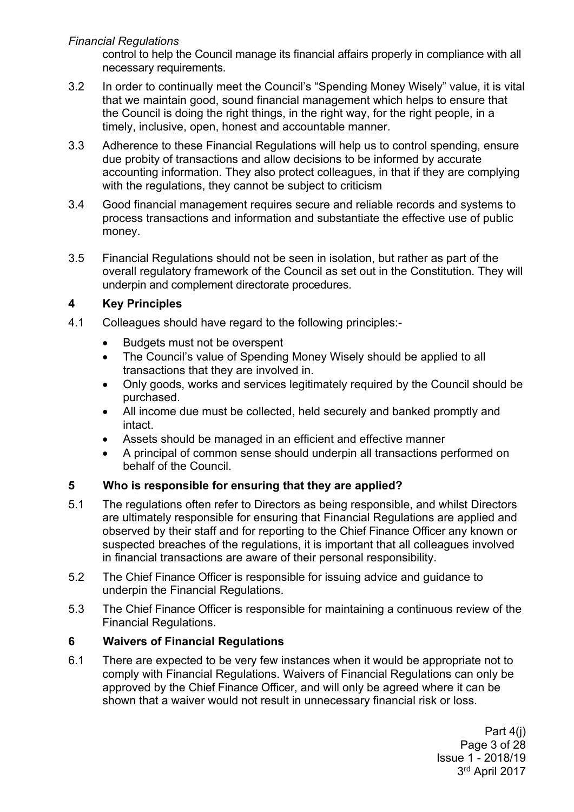*Financial Regulations*

control to help the Council manage its financial affairs properly in compliance with all necessary requirements.

- 3.2 In order to continually meet the Council's "Spending Money Wisely" value, it is vital that we maintain good, sound financial management which helps to ensure that the Council is doing the right things, in the right way, for the right people, in a timely, inclusive, open, honest and accountable manner.
- 3.3 Adherence to these Financial Regulations will help us to control spending, ensure due probity of transactions and allow decisions to be informed by accurate accounting information. They also protect colleagues, in that if they are complying with the regulations, they cannot be subject to criticism
- 3.4 Good financial management requires secure and reliable records and systems to process transactions and information and substantiate the effective use of public money.
- 3.5 Financial Regulations should not be seen in isolation, but rather as part of the overall regulatory framework of the Council as set out in the Constitution. They will underpin and complement directorate procedures.

## **4 Key Principles**

- 4.1 Colleagues should have regard to the following principles:-
	- Budgets must not be overspent
	- The Council's value of Spending Money Wisely should be applied to all transactions that they are involved in.
	- Only goods, works and services legitimately required by the Council should be purchased.
	- All income due must be collected, held securely and banked promptly and intact.
	- Assets should be managed in an efficient and effective manner
	- A principal of common sense should underpin all transactions performed on behalf of the Council.

### **5 Who is responsible for ensuring that they are applied?**

- 5.1 The regulations often refer to Directors as being responsible, and whilst Directors are ultimately responsible for ensuring that Financial Regulations are applied and observed by their staff and for reporting to the Chief Finance Officer any known or suspected breaches of the regulations, it is important that all colleagues involved in financial transactions are aware of their personal responsibility.
- 5.2 The Chief Finance Officer is responsible for issuing advice and guidance to underpin the Financial Regulations.
- 5.3 The Chief Finance Officer is responsible for maintaining a continuous review of the Financial Regulations.

## **6 Waivers of Financial Regulations**

6.1 There are expected to be very few instances when it would be appropriate not to comply with Financial Regulations. Waivers of Financial Regulations can only be approved by the Chief Finance Officer, and will only be agreed where it can be shown that a waiver would not result in unnecessary financial risk or loss.

> Part 4(j) Page 3 of 28 Issue 1 - 2018/19 3 rd April 2017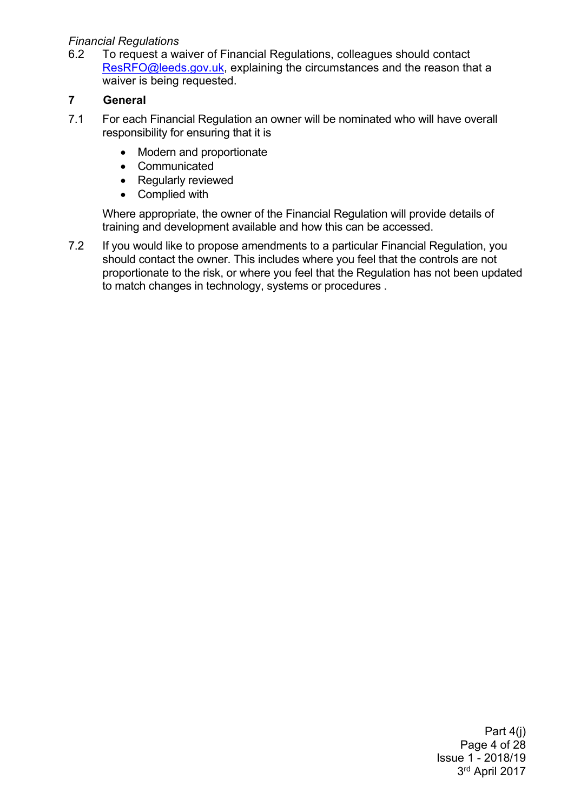#### *Financial Regulations*

6.2 To request a waiver of Financial Regulations, colleagues should contact [ResRFO@leeds.gov.uk,](mailto:ResRFO@leeds.gov.uk) explaining the circumstances and the reason that a waiver is being requested.

#### **7 General**

- 7.1 For each Financial Regulation an owner will be nominated who will have overall responsibility for ensuring that it is
	- Modern and proportionate
	- Communicated
	- Regularly reviewed
	- Complied with

Where appropriate, the owner of the Financial Regulation will provide details of training and development available and how this can be accessed.

7.2 If you would like to propose amendments to a particular Financial Regulation, you should contact the owner. This includes where you feel that the controls are not proportionate to the risk, or where you feel that the Regulation has not been updated to match changes in technology, systems or procedures .

> Part 4(j) Page 4 of 28 Issue 1 - 2018/19 3 rd April 2017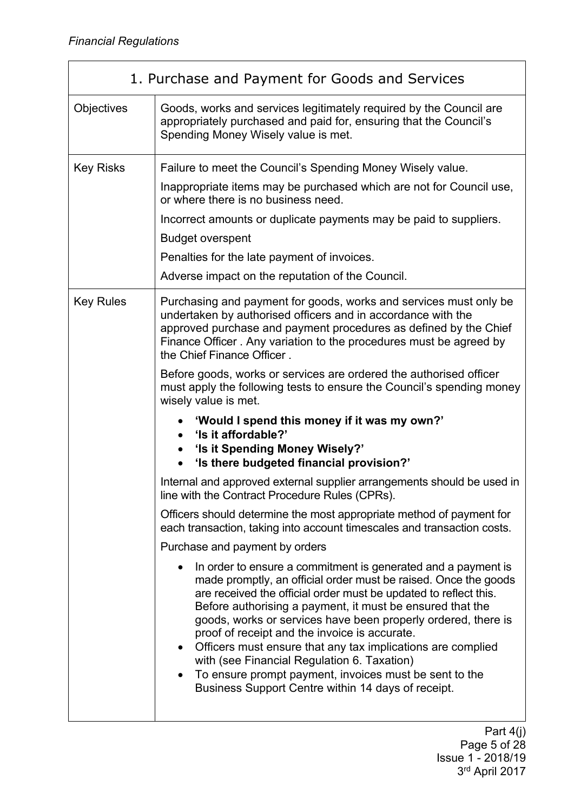| 1. Purchase and Payment for Goods and Services |                                                                                                                                                                                                                                                                                                                                                                                                                                                                                                                                                                                                                                |
|------------------------------------------------|--------------------------------------------------------------------------------------------------------------------------------------------------------------------------------------------------------------------------------------------------------------------------------------------------------------------------------------------------------------------------------------------------------------------------------------------------------------------------------------------------------------------------------------------------------------------------------------------------------------------------------|
| <b>Objectives</b>                              | Goods, works and services legitimately required by the Council are<br>appropriately purchased and paid for, ensuring that the Council's<br>Spending Money Wisely value is met.                                                                                                                                                                                                                                                                                                                                                                                                                                                 |
| <b>Key Risks</b>                               | Failure to meet the Council's Spending Money Wisely value.                                                                                                                                                                                                                                                                                                                                                                                                                                                                                                                                                                     |
|                                                | Inappropriate items may be purchased which are not for Council use,<br>or where there is no business need.                                                                                                                                                                                                                                                                                                                                                                                                                                                                                                                     |
|                                                | Incorrect amounts or duplicate payments may be paid to suppliers.                                                                                                                                                                                                                                                                                                                                                                                                                                                                                                                                                              |
|                                                | <b>Budget overspent</b>                                                                                                                                                                                                                                                                                                                                                                                                                                                                                                                                                                                                        |
|                                                | Penalties for the late payment of invoices.                                                                                                                                                                                                                                                                                                                                                                                                                                                                                                                                                                                    |
|                                                | Adverse impact on the reputation of the Council.                                                                                                                                                                                                                                                                                                                                                                                                                                                                                                                                                                               |
| <b>Key Rules</b>                               | Purchasing and payment for goods, works and services must only be<br>undertaken by authorised officers and in accordance with the<br>approved purchase and payment procedures as defined by the Chief<br>Finance Officer. Any variation to the procedures must be agreed by<br>the Chief Finance Officer.                                                                                                                                                                                                                                                                                                                      |
|                                                | Before goods, works or services are ordered the authorised officer<br>must apply the following tests to ensure the Council's spending money<br>wisely value is met.                                                                                                                                                                                                                                                                                                                                                                                                                                                            |
|                                                | 'Would I spend this money if it was my own?'<br>'Is it affordable?'<br>$\bullet$<br>'Is it Spending Money Wisely?'<br>'Is there budgeted financial provision?'                                                                                                                                                                                                                                                                                                                                                                                                                                                                 |
|                                                | Internal and approved external supplier arrangements should be used in<br>line with the Contract Procedure Rules (CPRs).                                                                                                                                                                                                                                                                                                                                                                                                                                                                                                       |
|                                                | Officers should determine the most appropriate method of payment for<br>each transaction, taking into account timescales and transaction costs.                                                                                                                                                                                                                                                                                                                                                                                                                                                                                |
|                                                | Purchase and payment by orders                                                                                                                                                                                                                                                                                                                                                                                                                                                                                                                                                                                                 |
|                                                | In order to ensure a commitment is generated and a payment is<br>made promptly, an official order must be raised. Once the goods<br>are received the official order must be updated to reflect this.<br>Before authorising a payment, it must be ensured that the<br>goods, works or services have been properly ordered, there is<br>proof of receipt and the invoice is accurate.<br>Officers must ensure that any tax implications are complied<br>with (see Financial Regulation 6. Taxation)<br>To ensure prompt payment, invoices must be sent to the<br>$\bullet$<br>Business Support Centre within 14 days of receipt. |
|                                                |                                                                                                                                                                                                                                                                                                                                                                                                                                                                                                                                                                                                                                |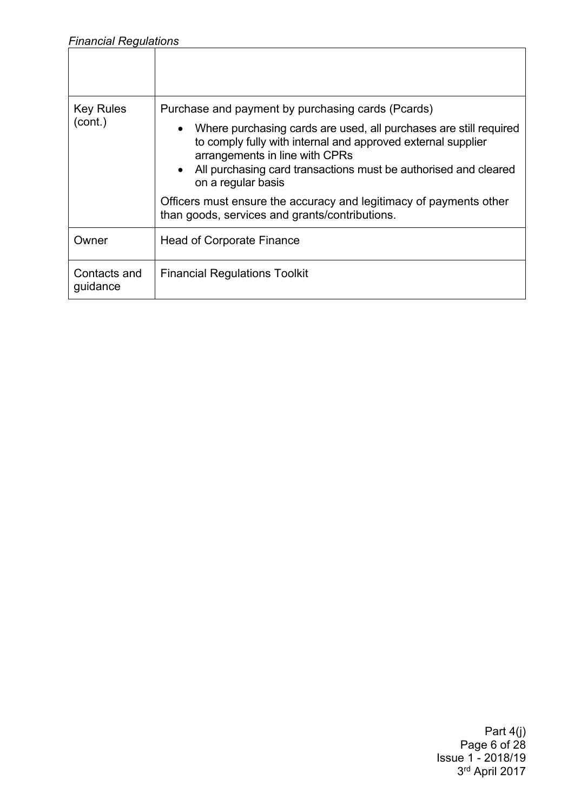| <b>Key Rules</b>         | Purchase and payment by purchasing cards (Pcards)                                                                                                                                                                                                            |
|--------------------------|--------------------------------------------------------------------------------------------------------------------------------------------------------------------------------------------------------------------------------------------------------------|
| (cont.)                  | Where purchasing cards are used, all purchases are still required<br>to comply fully with internal and approved external supplier<br>arrangements in line with CPRs<br>All purchasing card transactions must be authorised and cleared<br>on a regular basis |
|                          | Officers must ensure the accuracy and legitimacy of payments other<br>than goods, services and grants/contributions.                                                                                                                                         |
| Owner                    | <b>Head of Corporate Finance</b>                                                                                                                                                                                                                             |
| Contacts and<br>guidance | <b>Financial Regulations Toolkit</b>                                                                                                                                                                                                                         |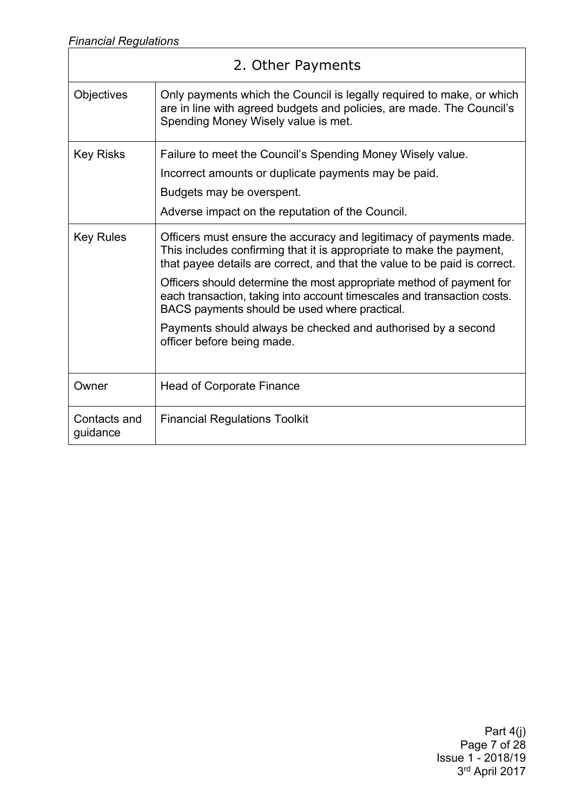| 2. Other Payments        |                                                                                                                                                                                                                         |  |
|--------------------------|-------------------------------------------------------------------------------------------------------------------------------------------------------------------------------------------------------------------------|--|
| Objectives               | Only payments which the Council is legally required to make, or which<br>are in line with agreed budgets and policies, are made. The Council's<br>Spending Money Wisely value is met.                                   |  |
| <b>Key Risks</b>         | Failure to meet the Council's Spending Money Wisely value.<br>Incorrect amounts or duplicate payments may be paid.<br>Budgets may be overspent.<br>Adverse impact on the reputation of the Council.                     |  |
| <b>Key Rules</b>         | Officers must ensure the accuracy and legitimacy of payments made.<br>This includes confirming that it is appropriate to make the payment,<br>that payee details are correct, and that the value to be paid is correct. |  |
|                          | Officers should determine the most appropriate method of payment for<br>each transaction, taking into account timescales and transaction costs.<br>BACS payments should be used where practical.                        |  |
|                          | Payments should always be checked and authorised by a second<br>officer before being made.                                                                                                                              |  |
| Owner                    | <b>Head of Corporate Finance</b>                                                                                                                                                                                        |  |
| Contacts and<br>guidance | <b>Financial Regulations Toolkit</b>                                                                                                                                                                                    |  |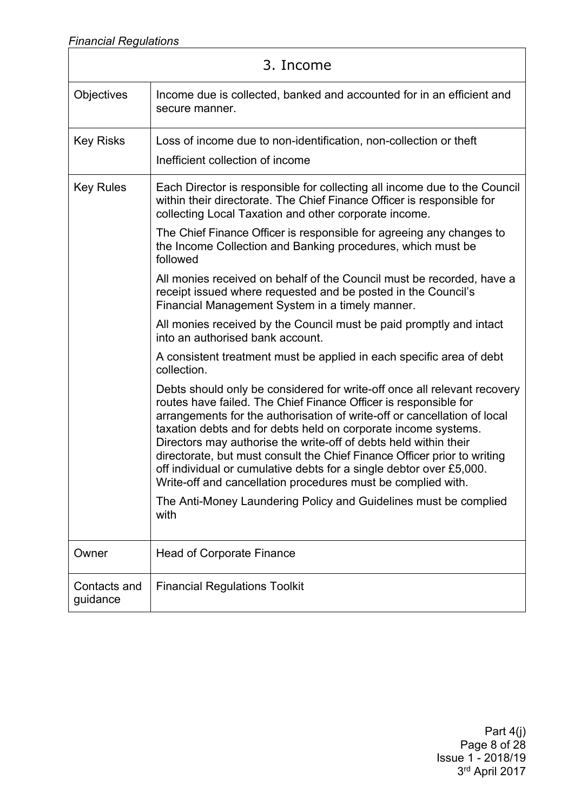| 3. Income                |                                                                                                                                                                                                                                                                                                                                                                                                                                                                                                                                                                                   |  |
|--------------------------|-----------------------------------------------------------------------------------------------------------------------------------------------------------------------------------------------------------------------------------------------------------------------------------------------------------------------------------------------------------------------------------------------------------------------------------------------------------------------------------------------------------------------------------------------------------------------------------|--|
| Objectives               | Income due is collected, banked and accounted for in an efficient and<br>secure manner.                                                                                                                                                                                                                                                                                                                                                                                                                                                                                           |  |
| <b>Key Risks</b>         | Loss of income due to non-identification, non-collection or theft                                                                                                                                                                                                                                                                                                                                                                                                                                                                                                                 |  |
|                          | Inefficient collection of income                                                                                                                                                                                                                                                                                                                                                                                                                                                                                                                                                  |  |
| <b>Key Rules</b>         | Each Director is responsible for collecting all income due to the Council<br>within their directorate. The Chief Finance Officer is responsible for<br>collecting Local Taxation and other corporate income.                                                                                                                                                                                                                                                                                                                                                                      |  |
|                          | The Chief Finance Officer is responsible for agreeing any changes to<br>the Income Collection and Banking procedures, which must be<br>followed                                                                                                                                                                                                                                                                                                                                                                                                                                   |  |
|                          | All monies received on behalf of the Council must be recorded, have a<br>receipt issued where requested and be posted in the Council's<br>Financial Management System in a timely manner.                                                                                                                                                                                                                                                                                                                                                                                         |  |
|                          | All monies received by the Council must be paid promptly and intact<br>into an authorised bank account.                                                                                                                                                                                                                                                                                                                                                                                                                                                                           |  |
|                          | A consistent treatment must be applied in each specific area of debt<br>collection.                                                                                                                                                                                                                                                                                                                                                                                                                                                                                               |  |
|                          | Debts should only be considered for write-off once all relevant recovery<br>routes have failed. The Chief Finance Officer is responsible for<br>arrangements for the authorisation of write-off or cancellation of local<br>taxation debts and for debts held on corporate income systems.<br>Directors may authorise the write-off of debts held within their<br>directorate, but must consult the Chief Finance Officer prior to writing<br>off individual or cumulative debts for a single debtor over £5,000.<br>Write-off and cancellation procedures must be complied with. |  |
|                          | The Anti-Money Laundering Policy and Guidelines must be complied<br>with                                                                                                                                                                                                                                                                                                                                                                                                                                                                                                          |  |
| Owner                    | <b>Head of Corporate Finance</b>                                                                                                                                                                                                                                                                                                                                                                                                                                                                                                                                                  |  |
| Contacts and<br>guidance | <b>Financial Regulations Toolkit</b>                                                                                                                                                                                                                                                                                                                                                                                                                                                                                                                                              |  |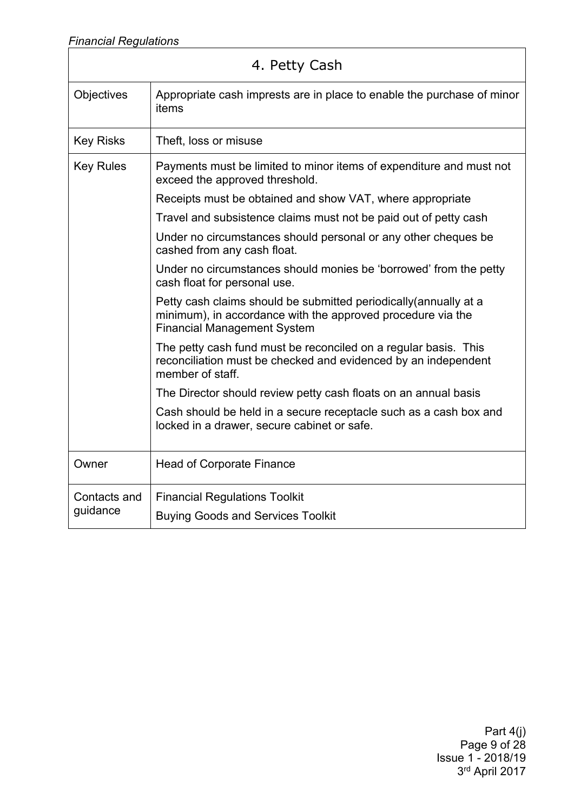| 4. Petty Cash    |                                                                                                                                                                        |
|------------------|------------------------------------------------------------------------------------------------------------------------------------------------------------------------|
| Objectives       | Appropriate cash imprests are in place to enable the purchase of minor<br>items                                                                                        |
| <b>Key Risks</b> | Theft, loss or misuse                                                                                                                                                  |
| <b>Key Rules</b> | Payments must be limited to minor items of expenditure and must not<br>exceed the approved threshold.                                                                  |
|                  | Receipts must be obtained and show VAT, where appropriate                                                                                                              |
|                  | Travel and subsistence claims must not be paid out of petty cash                                                                                                       |
|                  | Under no circumstances should personal or any other cheques be<br>cashed from any cash float.                                                                          |
|                  | Under no circumstances should monies be 'borrowed' from the petty<br>cash float for personal use.                                                                      |
|                  | Petty cash claims should be submitted periodically (annually at a<br>minimum), in accordance with the approved procedure via the<br><b>Financial Management System</b> |
|                  | The petty cash fund must be reconciled on a regular basis. This<br>reconciliation must be checked and evidenced by an independent<br>member of staff.                  |
|                  | The Director should review petty cash floats on an annual basis                                                                                                        |
|                  | Cash should be held in a secure receptacle such as a cash box and<br>locked in a drawer, secure cabinet or safe.                                                       |
| Owner            | <b>Head of Corporate Finance</b>                                                                                                                                       |
| Contacts and     | <b>Financial Regulations Toolkit</b>                                                                                                                                   |
| guidance         | <b>Buying Goods and Services Toolkit</b>                                                                                                                               |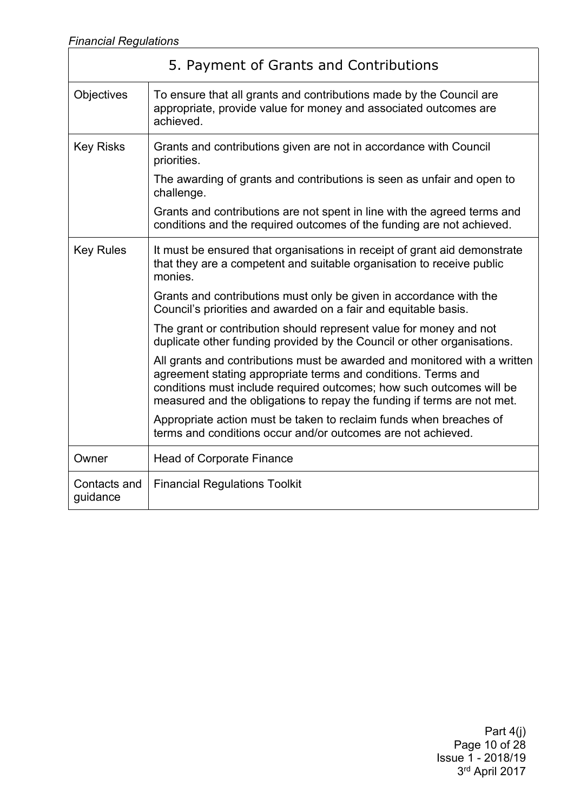| 5. Payment of Grants and Contributions |                                                                                                                                                                                                                                                                                               |
|----------------------------------------|-----------------------------------------------------------------------------------------------------------------------------------------------------------------------------------------------------------------------------------------------------------------------------------------------|
| Objectives                             | To ensure that all grants and contributions made by the Council are<br>appropriate, provide value for money and associated outcomes are<br>achieved.                                                                                                                                          |
| <b>Key Risks</b>                       | Grants and contributions given are not in accordance with Council<br>priorities.                                                                                                                                                                                                              |
|                                        | The awarding of grants and contributions is seen as unfair and open to<br>challenge.                                                                                                                                                                                                          |
|                                        | Grants and contributions are not spent in line with the agreed terms and<br>conditions and the required outcomes of the funding are not achieved.                                                                                                                                             |
| <b>Key Rules</b>                       | It must be ensured that organisations in receipt of grant aid demonstrate<br>that they are a competent and suitable organisation to receive public<br>monies.                                                                                                                                 |
|                                        | Grants and contributions must only be given in accordance with the<br>Council's priorities and awarded on a fair and equitable basis.                                                                                                                                                         |
|                                        | The grant or contribution should represent value for money and not<br>duplicate other funding provided by the Council or other organisations.                                                                                                                                                 |
|                                        | All grants and contributions must be awarded and monitored with a written<br>agreement stating appropriate terms and conditions. Terms and<br>conditions must include required outcomes; how such outcomes will be<br>measured and the obligations to repay the funding if terms are not met. |
|                                        | Appropriate action must be taken to reclaim funds when breaches of<br>terms and conditions occur and/or outcomes are not achieved.                                                                                                                                                            |
| Owner                                  | <b>Head of Corporate Finance</b>                                                                                                                                                                                                                                                              |
| Contacts and<br>guidance               | <b>Financial Regulations Toolkit</b>                                                                                                                                                                                                                                                          |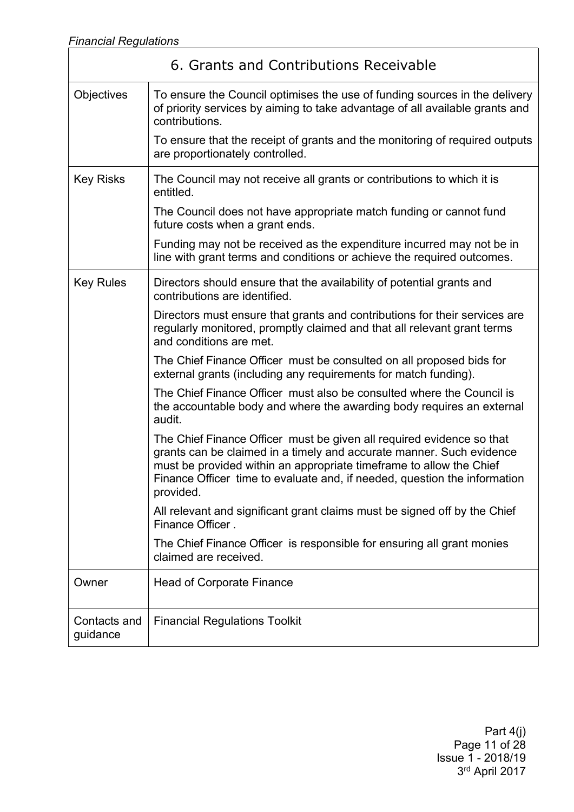| 6. Grants and Contributions Receivable |                                                                                                                                                                                                                                                                                                                |
|----------------------------------------|----------------------------------------------------------------------------------------------------------------------------------------------------------------------------------------------------------------------------------------------------------------------------------------------------------------|
| <b>Objectives</b>                      | To ensure the Council optimises the use of funding sources in the delivery<br>of priority services by aiming to take advantage of all available grants and<br>contributions.                                                                                                                                   |
|                                        | To ensure that the receipt of grants and the monitoring of required outputs<br>are proportionately controlled.                                                                                                                                                                                                 |
| <b>Key Risks</b>                       | The Council may not receive all grants or contributions to which it is<br>entitled.                                                                                                                                                                                                                            |
|                                        | The Council does not have appropriate match funding or cannot fund<br>future costs when a grant ends.                                                                                                                                                                                                          |
|                                        | Funding may not be received as the expenditure incurred may not be in<br>line with grant terms and conditions or achieve the required outcomes.                                                                                                                                                                |
| <b>Key Rules</b>                       | Directors should ensure that the availability of potential grants and<br>contributions are identified.                                                                                                                                                                                                         |
|                                        | Directors must ensure that grants and contributions for their services are<br>regularly monitored, promptly claimed and that all relevant grant terms<br>and conditions are met.                                                                                                                               |
|                                        | The Chief Finance Officer must be consulted on all proposed bids for<br>external grants (including any requirements for match funding).                                                                                                                                                                        |
|                                        | The Chief Finance Officer must also be consulted where the Council is<br>the accountable body and where the awarding body requires an external<br>audit.                                                                                                                                                       |
|                                        | The Chief Finance Officer must be given all required evidence so that<br>grants can be claimed in a timely and accurate manner. Such evidence<br>must be provided within an appropriate timeframe to allow the Chief<br>Finance Officer time to evaluate and, if needed, question the information<br>provided. |
|                                        | All relevant and significant grant claims must be signed off by the Chief<br>Finance Officer.                                                                                                                                                                                                                  |
|                                        | The Chief Finance Officer is responsible for ensuring all grant monies<br>claimed are received.                                                                                                                                                                                                                |
| Owner                                  | <b>Head of Corporate Finance</b>                                                                                                                                                                                                                                                                               |
| Contacts and<br>guidance               | <b>Financial Regulations Toolkit</b>                                                                                                                                                                                                                                                                           |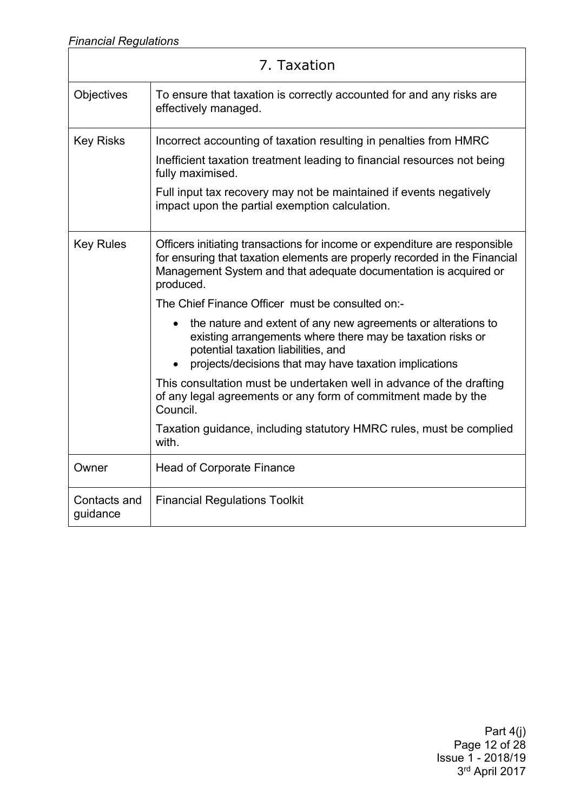| 7. Taxation              |                                                                                                                                                                                                                                                                                                                                                                                                                                                                                                                                                                                                                                                                                                                                                                    |
|--------------------------|--------------------------------------------------------------------------------------------------------------------------------------------------------------------------------------------------------------------------------------------------------------------------------------------------------------------------------------------------------------------------------------------------------------------------------------------------------------------------------------------------------------------------------------------------------------------------------------------------------------------------------------------------------------------------------------------------------------------------------------------------------------------|
| Objectives               | To ensure that taxation is correctly accounted for and any risks are<br>effectively managed.                                                                                                                                                                                                                                                                                                                                                                                                                                                                                                                                                                                                                                                                       |
| <b>Key Risks</b>         | Incorrect accounting of taxation resulting in penalties from HMRC<br>Inefficient taxation treatment leading to financial resources not being<br>fully maximised.<br>Full input tax recovery may not be maintained if events negatively<br>impact upon the partial exemption calculation.                                                                                                                                                                                                                                                                                                                                                                                                                                                                           |
| <b>Key Rules</b>         | Officers initiating transactions for income or expenditure are responsible<br>for ensuring that taxation elements are properly recorded in the Financial<br>Management System and that adequate documentation is acquired or<br>produced.<br>The Chief Finance Officer must be consulted on:-<br>the nature and extent of any new agreements or alterations to<br>existing arrangements where there may be taxation risks or<br>potential taxation liabilities, and<br>projects/decisions that may have taxation implications<br>This consultation must be undertaken well in advance of the drafting<br>of any legal agreements or any form of commitment made by the<br>Council.<br>Taxation guidance, including statutory HMRC rules, must be complied<br>with. |
| Owner                    | <b>Head of Corporate Finance</b>                                                                                                                                                                                                                                                                                                                                                                                                                                                                                                                                                                                                                                                                                                                                   |
| Contacts and<br>guidance | <b>Financial Regulations Toolkit</b>                                                                                                                                                                                                                                                                                                                                                                                                                                                                                                                                                                                                                                                                                                                               |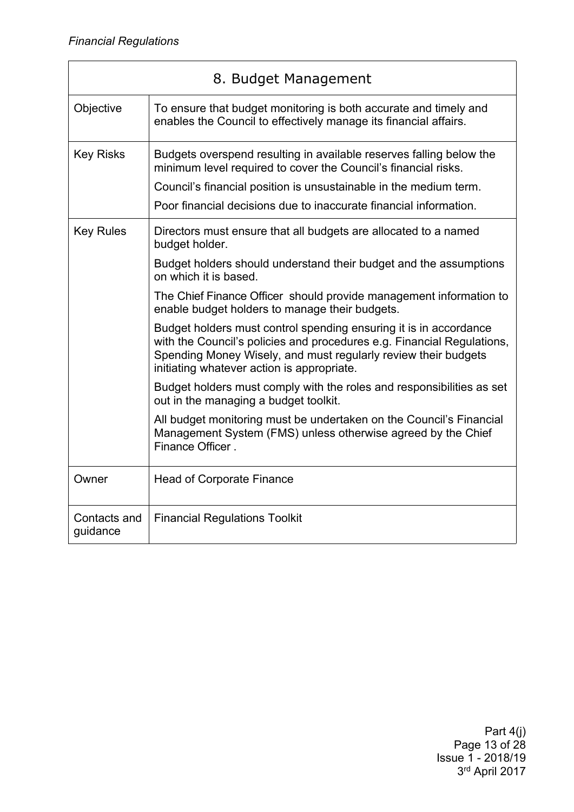| 8. Budget Management     |                                                                                                                                                                                                                                                             |
|--------------------------|-------------------------------------------------------------------------------------------------------------------------------------------------------------------------------------------------------------------------------------------------------------|
| Objective                | To ensure that budget monitoring is both accurate and timely and<br>enables the Council to effectively manage its financial affairs.                                                                                                                        |
| <b>Key Risks</b>         | Budgets overspend resulting in available reserves falling below the<br>minimum level required to cover the Council's financial risks.                                                                                                                       |
|                          | Council's financial position is unsustainable in the medium term.                                                                                                                                                                                           |
|                          | Poor financial decisions due to inaccurate financial information.                                                                                                                                                                                           |
| <b>Key Rules</b>         | Directors must ensure that all budgets are allocated to a named<br>budget holder.                                                                                                                                                                           |
|                          | Budget holders should understand their budget and the assumptions<br>on which it is based.                                                                                                                                                                  |
|                          | The Chief Finance Officer should provide management information to<br>enable budget holders to manage their budgets.                                                                                                                                        |
|                          | Budget holders must control spending ensuring it is in accordance<br>with the Council's policies and procedures e.g. Financial Regulations,<br>Spending Money Wisely, and must regularly review their budgets<br>initiating whatever action is appropriate. |
|                          | Budget holders must comply with the roles and responsibilities as set<br>out in the managing a budget toolkit.                                                                                                                                              |
|                          | All budget monitoring must be undertaken on the Council's Financial<br>Management System (FMS) unless otherwise agreed by the Chief<br>Finance Officer.                                                                                                     |
| Owner                    | <b>Head of Corporate Finance</b>                                                                                                                                                                                                                            |
| Contacts and<br>guidance | <b>Financial Regulations Toolkit</b>                                                                                                                                                                                                                        |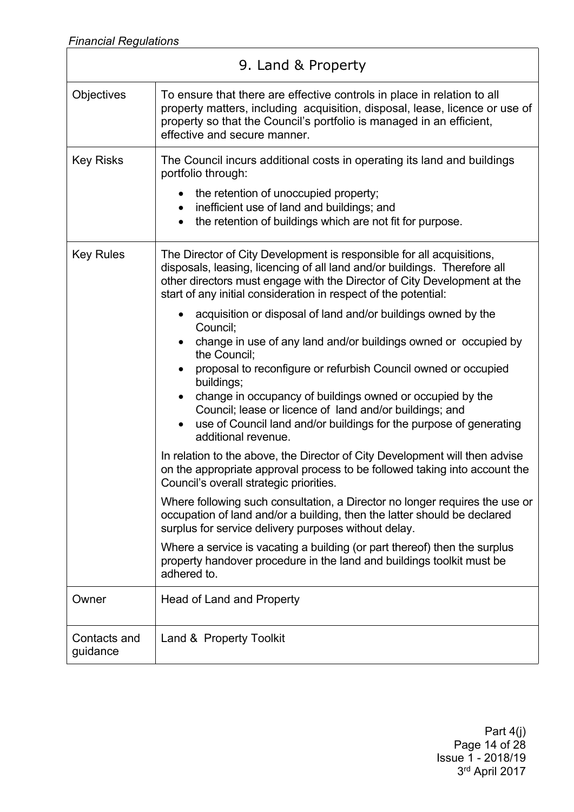| 9. Land & Property       |                                                                                                                                                                                                                                                                                                                                                                                                                                                                   |  |
|--------------------------|-------------------------------------------------------------------------------------------------------------------------------------------------------------------------------------------------------------------------------------------------------------------------------------------------------------------------------------------------------------------------------------------------------------------------------------------------------------------|--|
| Objectives               | To ensure that there are effective controls in place in relation to all<br>property matters, including acquisition, disposal, lease, licence or use of<br>property so that the Council's portfolio is managed in an efficient,<br>effective and secure manner.                                                                                                                                                                                                    |  |
| <b>Key Risks</b>         | The Council incurs additional costs in operating its land and buildings<br>portfolio through:                                                                                                                                                                                                                                                                                                                                                                     |  |
|                          | the retention of unoccupied property;<br>$\bullet$<br>inefficient use of land and buildings; and<br>$\bullet$<br>the retention of buildings which are not fit for purpose.                                                                                                                                                                                                                                                                                        |  |
| <b>Key Rules</b>         | The Director of City Development is responsible for all acquisitions,<br>disposals, leasing, licencing of all land and/or buildings. Therefore all<br>other directors must engage with the Director of City Development at the<br>start of any initial consideration in respect of the potential:                                                                                                                                                                 |  |
|                          | acquisition or disposal of land and/or buildings owned by the<br>Council:<br>change in use of any land and/or buildings owned or occupied by<br>the Council;<br>proposal to reconfigure or refurbish Council owned or occupied<br>buildings;<br>change in occupancy of buildings owned or occupied by the<br>Council; lease or licence of land and/or buildings; and<br>use of Council land and/or buildings for the purpose of generating<br>additional revenue. |  |
|                          | In relation to the above, the Director of City Development will then advise<br>on the appropriate approval process to be followed taking into account the<br>Council's overall strategic priorities.                                                                                                                                                                                                                                                              |  |
|                          | Where following such consultation, a Director no longer requires the use or<br>occupation of land and/or a building, then the latter should be declared<br>surplus for service delivery purposes without delay.                                                                                                                                                                                                                                                   |  |
|                          | Where a service is vacating a building (or part thereof) then the surplus<br>property handover procedure in the land and buildings toolkit must be<br>adhered to.                                                                                                                                                                                                                                                                                                 |  |
| Owner                    | Head of Land and Property                                                                                                                                                                                                                                                                                                                                                                                                                                         |  |
| Contacts and<br>guidance | Land & Property Toolkit                                                                                                                                                                                                                                                                                                                                                                                                                                           |  |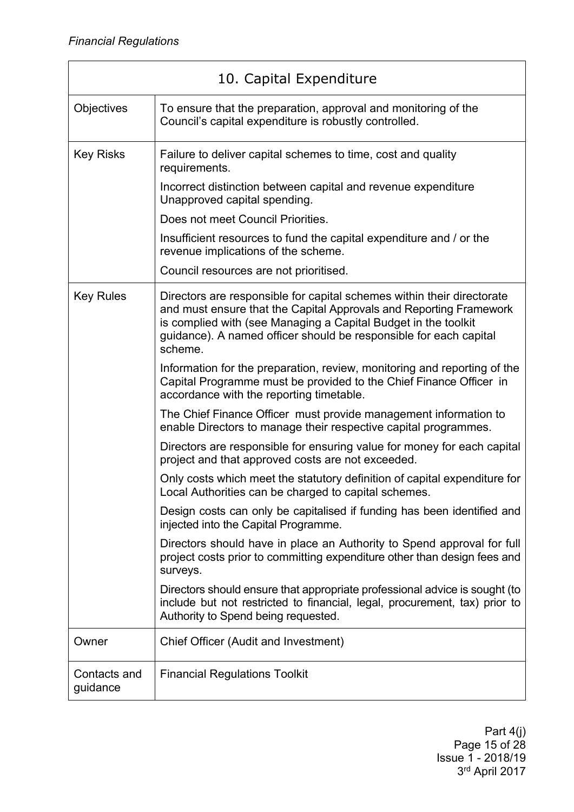| 10. Capital Expenditure  |                                                                                                                                                                                                                                                                                                |  |
|--------------------------|------------------------------------------------------------------------------------------------------------------------------------------------------------------------------------------------------------------------------------------------------------------------------------------------|--|
| Objectives               | To ensure that the preparation, approval and monitoring of the<br>Council's capital expenditure is robustly controlled.                                                                                                                                                                        |  |
| <b>Key Risks</b>         | Failure to deliver capital schemes to time, cost and quality<br>requirements.                                                                                                                                                                                                                  |  |
|                          | Incorrect distinction between capital and revenue expenditure<br>Unapproved capital spending.                                                                                                                                                                                                  |  |
|                          | Does not meet Council Priorities.                                                                                                                                                                                                                                                              |  |
|                          | Insufficient resources to fund the capital expenditure and / or the<br>revenue implications of the scheme.                                                                                                                                                                                     |  |
|                          | Council resources are not prioritised.                                                                                                                                                                                                                                                         |  |
| <b>Key Rules</b>         | Directors are responsible for capital schemes within their directorate<br>and must ensure that the Capital Approvals and Reporting Framework<br>is complied with (see Managing a Capital Budget in the toolkit<br>guidance). A named officer should be responsible for each capital<br>scheme. |  |
|                          | Information for the preparation, review, monitoring and reporting of the<br>Capital Programme must be provided to the Chief Finance Officer in<br>accordance with the reporting timetable.                                                                                                     |  |
|                          | The Chief Finance Officer must provide management information to<br>enable Directors to manage their respective capital programmes.                                                                                                                                                            |  |
|                          | Directors are responsible for ensuring value for money for each capital<br>project and that approved costs are not exceeded.                                                                                                                                                                   |  |
|                          | Only costs which meet the statutory definition of capital expenditure for<br>Local Authorities can be charged to capital schemes.                                                                                                                                                              |  |
|                          | Design costs can only be capitalised if funding has been identified and<br>injected into the Capital Programme.                                                                                                                                                                                |  |
|                          | Directors should have in place an Authority to Spend approval for full<br>project costs prior to committing expenditure other than design fees and<br>surveys.                                                                                                                                 |  |
|                          | Directors should ensure that appropriate professional advice is sought (to<br>include but not restricted to financial, legal, procurement, tax) prior to<br>Authority to Spend being requested.                                                                                                |  |
| Owner                    | Chief Officer (Audit and Investment)                                                                                                                                                                                                                                                           |  |
| Contacts and<br>guidance | <b>Financial Regulations Toolkit</b>                                                                                                                                                                                                                                                           |  |

Part 4(j) Page 15 of 28 Issue 1 - 2018/19 3 rd April 2017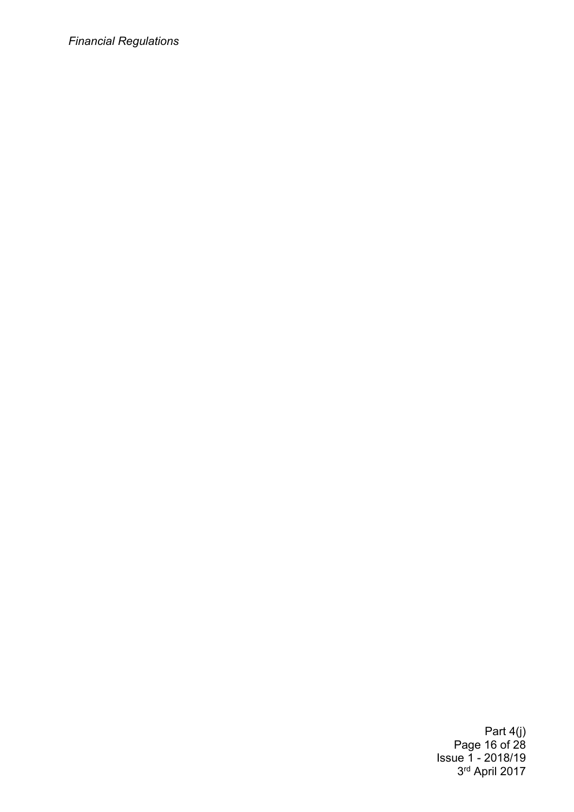# *Financial Regulations*

Part 4(j) Page 16 of 28 Issue 1 - 2018/19 3 rd April 2017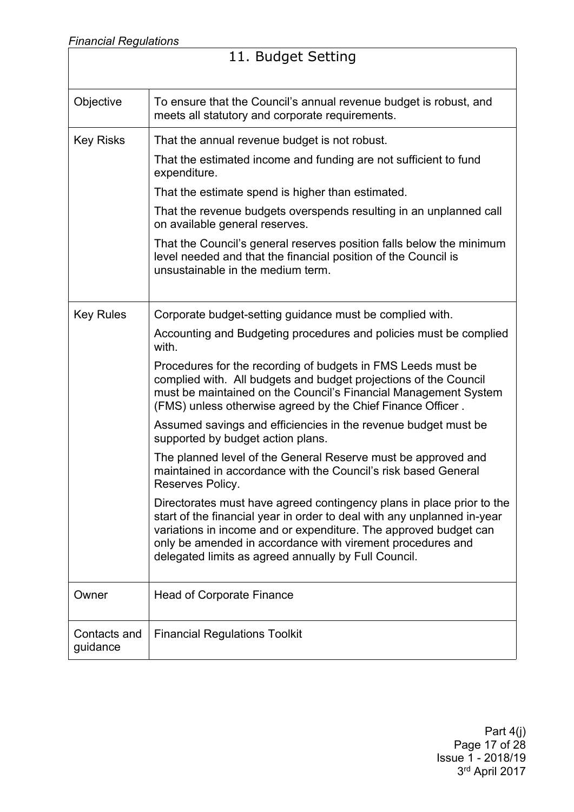| 11. Budget Setting       |                                                                                                                                                                                                                                                                                                                                            |
|--------------------------|--------------------------------------------------------------------------------------------------------------------------------------------------------------------------------------------------------------------------------------------------------------------------------------------------------------------------------------------|
| Objective                | To ensure that the Council's annual revenue budget is robust, and<br>meets all statutory and corporate requirements.                                                                                                                                                                                                                       |
| <b>Key Risks</b>         | That the annual revenue budget is not robust.                                                                                                                                                                                                                                                                                              |
|                          | That the estimated income and funding are not sufficient to fund<br>expenditure.                                                                                                                                                                                                                                                           |
|                          | That the estimate spend is higher than estimated.                                                                                                                                                                                                                                                                                          |
|                          | That the revenue budgets overspends resulting in an unplanned call<br>on available general reserves.                                                                                                                                                                                                                                       |
|                          | That the Council's general reserves position falls below the minimum<br>level needed and that the financial position of the Council is<br>unsustainable in the medium term.                                                                                                                                                                |
| <b>Key Rules</b>         | Corporate budget-setting guidance must be complied with.                                                                                                                                                                                                                                                                                   |
|                          | Accounting and Budgeting procedures and policies must be complied<br>with.                                                                                                                                                                                                                                                                 |
|                          | Procedures for the recording of budgets in FMS Leeds must be<br>complied with. All budgets and budget projections of the Council<br>must be maintained on the Council's Financial Management System<br>(FMS) unless otherwise agreed by the Chief Finance Officer.                                                                         |
|                          | Assumed savings and efficiencies in the revenue budget must be<br>supported by budget action plans.                                                                                                                                                                                                                                        |
|                          | The planned level of the General Reserve must be approved and<br>maintained in accordance with the Council's risk based General<br>Reserves Policy.                                                                                                                                                                                        |
|                          | Directorates must have agreed contingency plans in place prior to the<br>start of the financial year in order to deal with any unplanned in-year<br>variations in income and or expenditure. The approved budget can<br>only be amended in accordance with virement procedures and<br>delegated limits as agreed annually by Full Council. |
| Owner                    | <b>Head of Corporate Finance</b>                                                                                                                                                                                                                                                                                                           |
| Contacts and<br>guidance | <b>Financial Regulations Toolkit</b>                                                                                                                                                                                                                                                                                                       |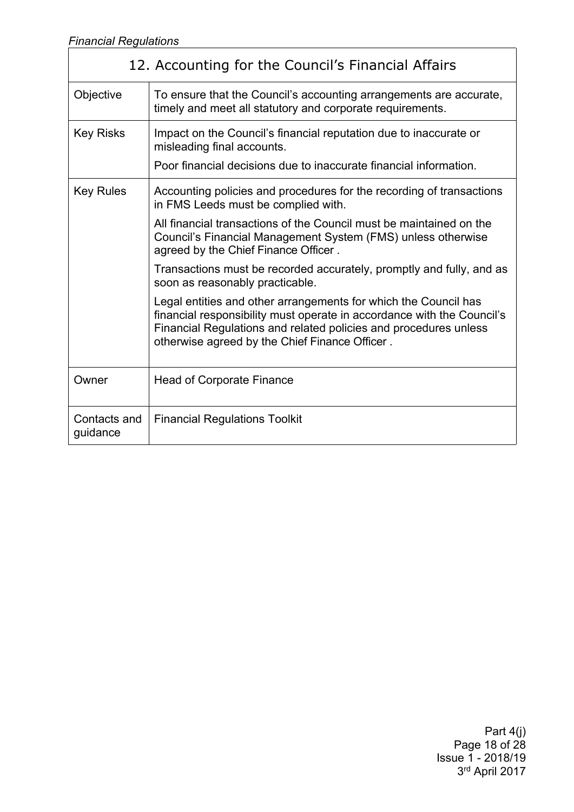| 12. Accounting for the Council's Financial Affairs |                                                                                                                                                                                                                                                                 |
|----------------------------------------------------|-----------------------------------------------------------------------------------------------------------------------------------------------------------------------------------------------------------------------------------------------------------------|
| Objective                                          | To ensure that the Council's accounting arrangements are accurate,<br>timely and meet all statutory and corporate requirements.                                                                                                                                 |
| <b>Key Risks</b>                                   | Impact on the Council's financial reputation due to inaccurate or<br>misleading final accounts.                                                                                                                                                                 |
|                                                    | Poor financial decisions due to inaccurate financial information.                                                                                                                                                                                               |
| <b>Key Rules</b>                                   | Accounting policies and procedures for the recording of transactions<br>in FMS Leeds must be complied with.                                                                                                                                                     |
|                                                    | All financial transactions of the Council must be maintained on the<br>Council's Financial Management System (FMS) unless otherwise<br>agreed by the Chief Finance Officer.                                                                                     |
|                                                    | Transactions must be recorded accurately, promptly and fully, and as<br>soon as reasonably practicable.                                                                                                                                                         |
|                                                    | Legal entities and other arrangements for which the Council has<br>financial responsibility must operate in accordance with the Council's<br>Financial Regulations and related policies and procedures unless<br>otherwise agreed by the Chief Finance Officer. |
| Owner                                              | <b>Head of Corporate Finance</b>                                                                                                                                                                                                                                |
| Contacts and<br>guidance                           | <b>Financial Regulations Toolkit</b>                                                                                                                                                                                                                            |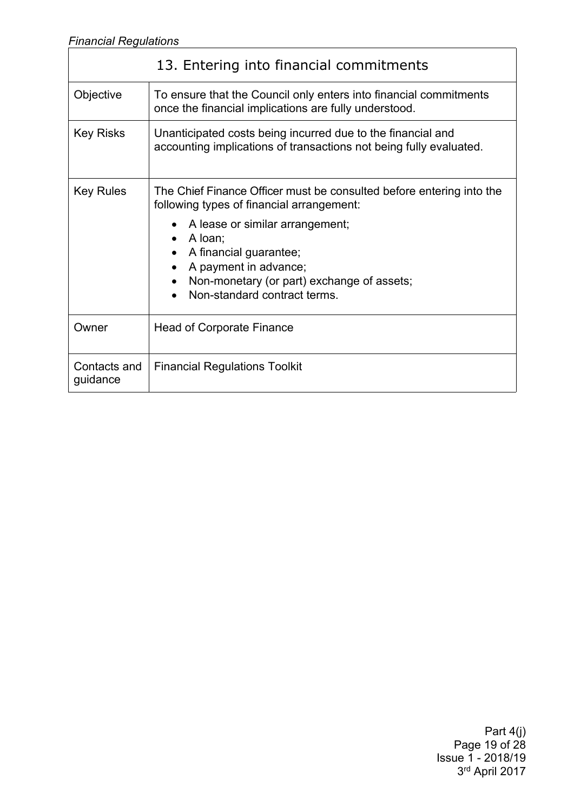|                          | 13. Entering into financial commitments                                                                                                                                                                                                                                                                       |
|--------------------------|---------------------------------------------------------------------------------------------------------------------------------------------------------------------------------------------------------------------------------------------------------------------------------------------------------------|
| Objective                | To ensure that the Council only enters into financial commitments<br>once the financial implications are fully understood.                                                                                                                                                                                    |
| Key Risks                | Unanticipated costs being incurred due to the financial and<br>accounting implications of transactions not being fully evaluated.                                                                                                                                                                             |
| <b>Key Rules</b>         | The Chief Finance Officer must be consulted before entering into the<br>following types of financial arrangement:<br>A lease or similar arrangement;<br>A loan;<br>A financial guarantee;<br>A payment in advance;<br>Non-monetary (or part) exchange of assets;<br>$\bullet$<br>Non-standard contract terms. |
| Owner                    | <b>Head of Corporate Finance</b>                                                                                                                                                                                                                                                                              |
| Contacts and<br>guidance | <b>Financial Regulations Toolkit</b>                                                                                                                                                                                                                                                                          |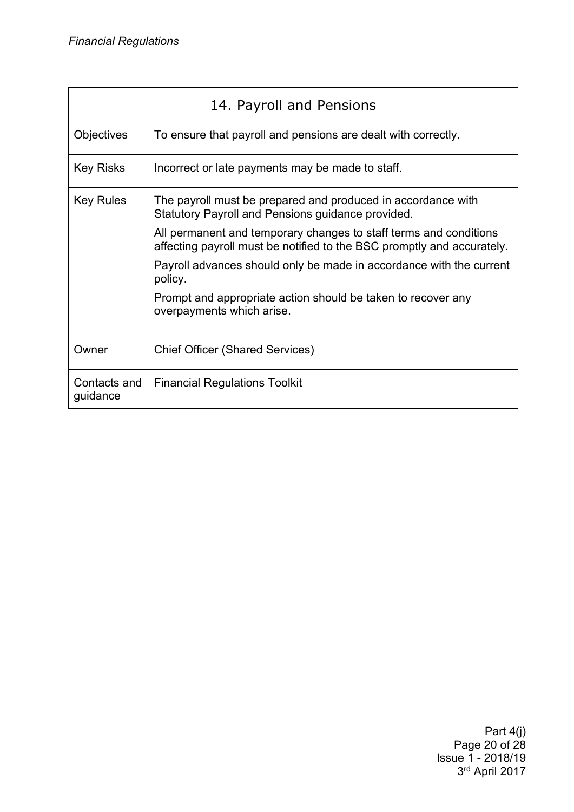| 14. Payroll and Pensions |                                                                                                                                             |  |
|--------------------------|---------------------------------------------------------------------------------------------------------------------------------------------|--|
| <b>Objectives</b>        | To ensure that payroll and pensions are dealt with correctly.                                                                               |  |
| <b>Key Risks</b>         | Incorrect or late payments may be made to staff.                                                                                            |  |
| <b>Key Rules</b>         | The payroll must be prepared and produced in accordance with<br>Statutory Payroll and Pensions guidance provided.                           |  |
|                          | All permanent and temporary changes to staff terms and conditions<br>affecting payroll must be notified to the BSC promptly and accurately. |  |
|                          | Payroll advances should only be made in accordance with the current<br>policy.                                                              |  |
|                          | Prompt and appropriate action should be taken to recover any<br>overpayments which arise.                                                   |  |
| Owner                    | <b>Chief Officer (Shared Services)</b>                                                                                                      |  |
| Contacts and<br>guidance | <b>Financial Regulations Toolkit</b>                                                                                                        |  |

Part 4(j) Page 20 of 28 Issue 1 - 2018/19 3 rd April 2017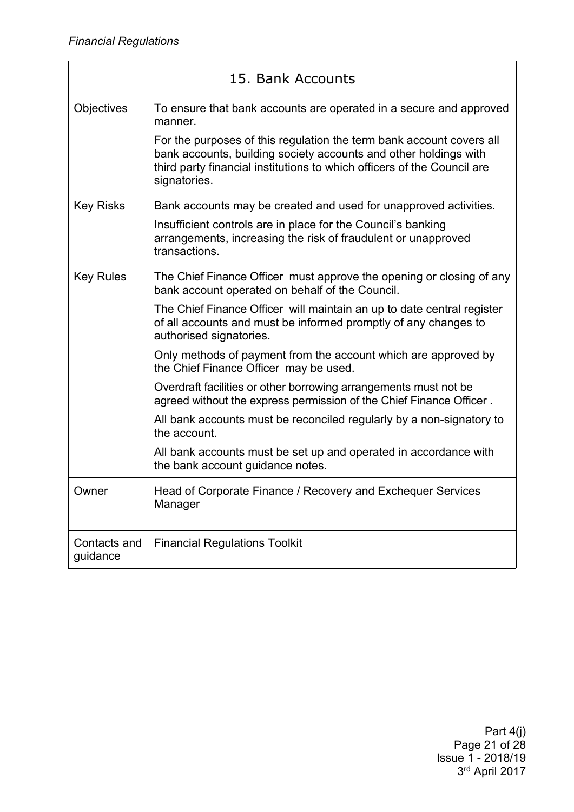| 15. Bank Accounts        |                                                                                                                                                                                                                                     |  |
|--------------------------|-------------------------------------------------------------------------------------------------------------------------------------------------------------------------------------------------------------------------------------|--|
| <b>Objectives</b>        | To ensure that bank accounts are operated in a secure and approved<br>manner.                                                                                                                                                       |  |
|                          | For the purposes of this regulation the term bank account covers all<br>bank accounts, building society accounts and other holdings with<br>third party financial institutions to which officers of the Council are<br>signatories. |  |
| <b>Key Risks</b>         | Bank accounts may be created and used for unapproved activities.                                                                                                                                                                    |  |
|                          | Insufficient controls are in place for the Council's banking<br>arrangements, increasing the risk of fraudulent or unapproved<br>transactions.                                                                                      |  |
| <b>Key Rules</b>         | The Chief Finance Officer must approve the opening or closing of any<br>bank account operated on behalf of the Council.                                                                                                             |  |
|                          | The Chief Finance Officer will maintain an up to date central register<br>of all accounts and must be informed promptly of any changes to<br>authorised signatories.                                                                |  |
|                          | Only methods of payment from the account which are approved by<br>the Chief Finance Officer may be used.                                                                                                                            |  |
|                          | Overdraft facilities or other borrowing arrangements must not be<br>agreed without the express permission of the Chief Finance Officer.                                                                                             |  |
|                          | All bank accounts must be reconciled regularly by a non-signatory to<br>the account.                                                                                                                                                |  |
|                          | All bank accounts must be set up and operated in accordance with<br>the bank account guidance notes.                                                                                                                                |  |
| Owner                    | Head of Corporate Finance / Recovery and Exchequer Services<br>Manager                                                                                                                                                              |  |
| Contacts and<br>guidance | <b>Financial Regulations Toolkit</b>                                                                                                                                                                                                |  |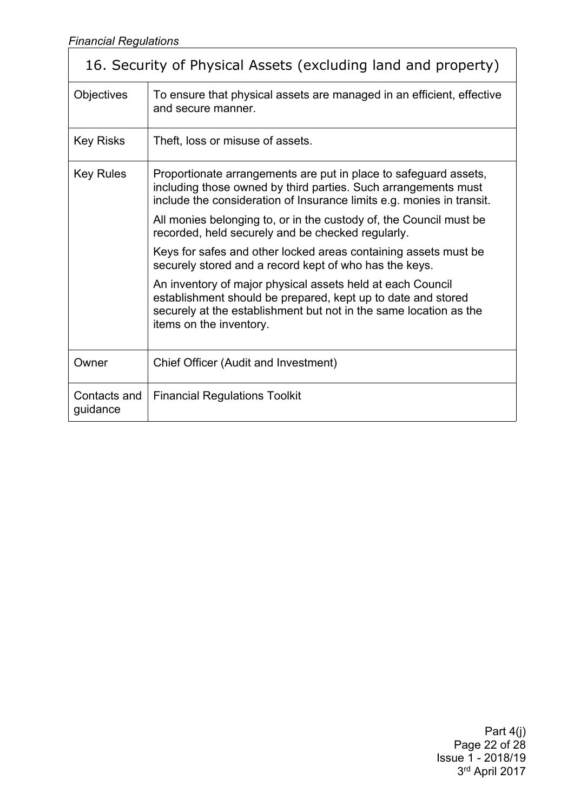| 16. Security of Physical Assets (excluding land and property) |                                                                                                                                                                                                                            |
|---------------------------------------------------------------|----------------------------------------------------------------------------------------------------------------------------------------------------------------------------------------------------------------------------|
| <b>Objectives</b>                                             | To ensure that physical assets are managed in an efficient, effective<br>and secure manner.                                                                                                                                |
| <b>Key Risks</b>                                              | Theft, loss or misuse of assets.                                                                                                                                                                                           |
| <b>Key Rules</b>                                              | Proportionate arrangements are put in place to safeguard assets,<br>including those owned by third parties. Such arrangements must<br>include the consideration of Insurance limits e.g. monies in transit.                |
|                                                               | All monies belonging to, or in the custody of, the Council must be<br>recorded, held securely and be checked regularly.                                                                                                    |
|                                                               | Keys for safes and other locked areas containing assets must be<br>securely stored and a record kept of who has the keys.                                                                                                  |
|                                                               | An inventory of major physical assets held at each Council<br>establishment should be prepared, kept up to date and stored<br>securely at the establishment but not in the same location as the<br>items on the inventory. |
| Owner                                                         | Chief Officer (Audit and Investment)                                                                                                                                                                                       |
| Contacts and<br>guidance                                      | <b>Financial Regulations Toolkit</b>                                                                                                                                                                                       |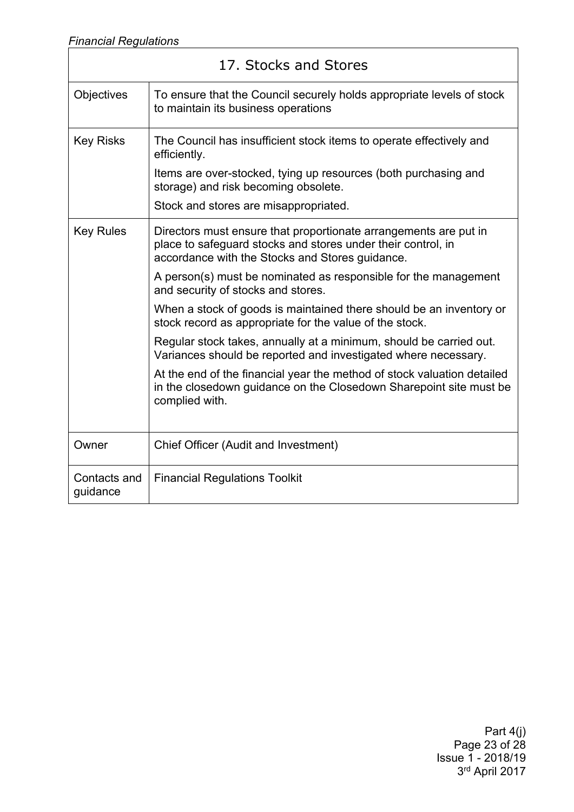| 17. Stocks and Stores    |                                                                                                                                                                                     |
|--------------------------|-------------------------------------------------------------------------------------------------------------------------------------------------------------------------------------|
| Objectives               | To ensure that the Council securely holds appropriate levels of stock<br>to maintain its business operations                                                                        |
| <b>Key Risks</b>         | The Council has insufficient stock items to operate effectively and<br>efficiently.                                                                                                 |
|                          | Items are over-stocked, tying up resources (both purchasing and<br>storage) and risk becoming obsolete.                                                                             |
|                          | Stock and stores are misappropriated.                                                                                                                                               |
| <b>Key Rules</b>         | Directors must ensure that proportionate arrangements are put in<br>place to safeguard stocks and stores under their control, in<br>accordance with the Stocks and Stores guidance. |
|                          | A person(s) must be nominated as responsible for the management<br>and security of stocks and stores.                                                                               |
|                          | When a stock of goods is maintained there should be an inventory or<br>stock record as appropriate for the value of the stock.                                                      |
|                          | Regular stock takes, annually at a minimum, should be carried out.<br>Variances should be reported and investigated where necessary.                                                |
|                          | At the end of the financial year the method of stock valuation detailed<br>in the closedown guidance on the Closedown Sharepoint site must be<br>complied with.                     |
| Owner                    | Chief Officer (Audit and Investment)                                                                                                                                                |
| Contacts and<br>guidance | <b>Financial Regulations Toolkit</b>                                                                                                                                                |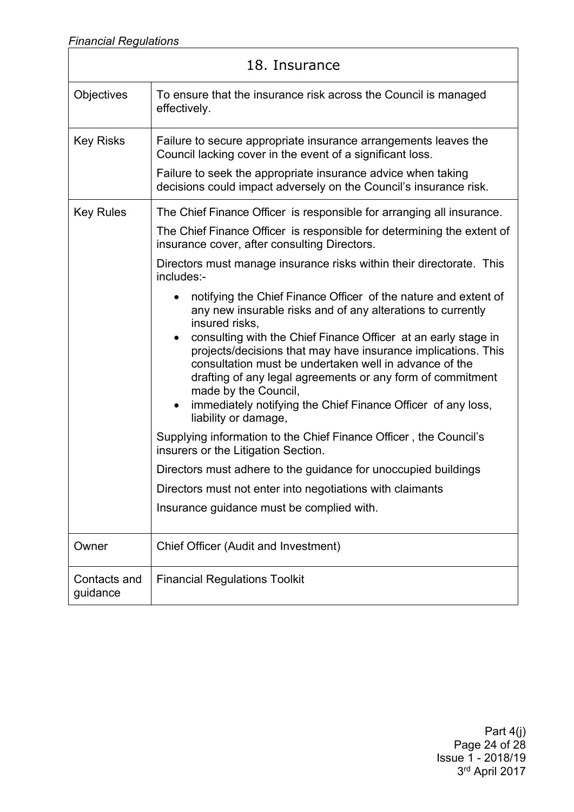| 18. Insurance            |                                                                                                                                                                                                                                                                                                                                                                                                                                                                                                                             |
|--------------------------|-----------------------------------------------------------------------------------------------------------------------------------------------------------------------------------------------------------------------------------------------------------------------------------------------------------------------------------------------------------------------------------------------------------------------------------------------------------------------------------------------------------------------------|
| <b>Objectives</b>        | To ensure that the insurance risk across the Council is managed<br>effectively.                                                                                                                                                                                                                                                                                                                                                                                                                                             |
| <b>Key Risks</b>         | Failure to secure appropriate insurance arrangements leaves the<br>Council lacking cover in the event of a significant loss.                                                                                                                                                                                                                                                                                                                                                                                                |
|                          | Failure to seek the appropriate insurance advice when taking<br>decisions could impact adversely on the Council's insurance risk.                                                                                                                                                                                                                                                                                                                                                                                           |
| <b>Key Rules</b>         | The Chief Finance Officer is responsible for arranging all insurance.                                                                                                                                                                                                                                                                                                                                                                                                                                                       |
|                          | The Chief Finance Officer is responsible for determining the extent of<br>insurance cover, after consulting Directors.                                                                                                                                                                                                                                                                                                                                                                                                      |
|                          | Directors must manage insurance risks within their directorate. This<br>includes:-                                                                                                                                                                                                                                                                                                                                                                                                                                          |
|                          | notifying the Chief Finance Officer of the nature and extent of<br>any new insurable risks and of any alterations to currently<br>insured risks,<br>consulting with the Chief Finance Officer at an early stage in<br>projects/decisions that may have insurance implications. This<br>consultation must be undertaken well in advance of the<br>drafting of any legal agreements or any form of commitment<br>made by the Council,<br>immediately notifying the Chief Finance Officer of any loss,<br>liability or damage, |
|                          | Supplying information to the Chief Finance Officer, the Council's<br>insurers or the Litigation Section.                                                                                                                                                                                                                                                                                                                                                                                                                    |
|                          | Directors must adhere to the guidance for unoccupied buildings                                                                                                                                                                                                                                                                                                                                                                                                                                                              |
|                          | Directors must not enter into negotiations with claimants                                                                                                                                                                                                                                                                                                                                                                                                                                                                   |
|                          | Insurance guidance must be complied with.                                                                                                                                                                                                                                                                                                                                                                                                                                                                                   |
| Owner                    | Chief Officer (Audit and Investment)                                                                                                                                                                                                                                                                                                                                                                                                                                                                                        |
| Contacts and<br>guidance | <b>Financial Regulations Toolkit</b>                                                                                                                                                                                                                                                                                                                                                                                                                                                                                        |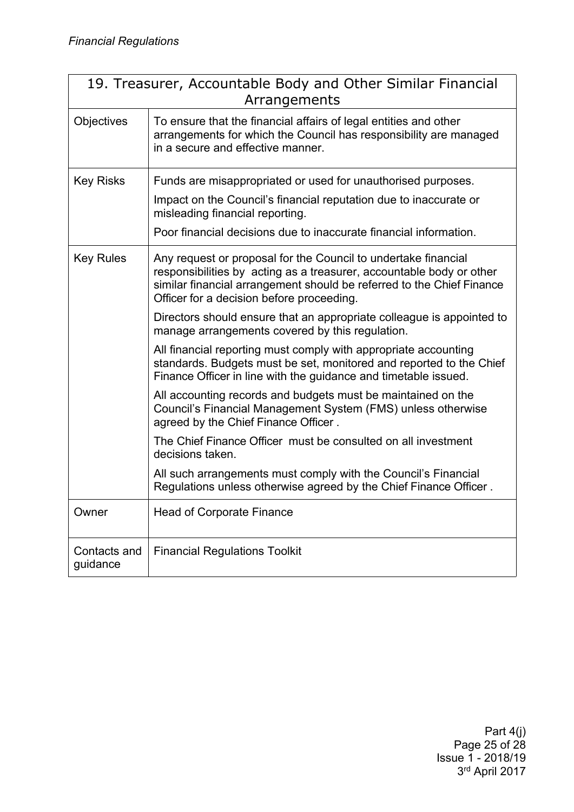| 19. Treasurer, Accountable Body and Other Similar Financial<br>Arrangements |                                                                                                                                                                                                                                                              |  |
|-----------------------------------------------------------------------------|--------------------------------------------------------------------------------------------------------------------------------------------------------------------------------------------------------------------------------------------------------------|--|
| Objectives                                                                  | To ensure that the financial affairs of legal entities and other<br>arrangements for which the Council has responsibility are managed<br>in a secure and effective manner.                                                                                   |  |
| <b>Key Risks</b>                                                            | Funds are misappropriated or used for unauthorised purposes.                                                                                                                                                                                                 |  |
|                                                                             | Impact on the Council's financial reputation due to inaccurate or<br>misleading financial reporting.                                                                                                                                                         |  |
|                                                                             | Poor financial decisions due to inaccurate financial information.                                                                                                                                                                                            |  |
| <b>Key Rules</b>                                                            | Any request or proposal for the Council to undertake financial<br>responsibilities by acting as a treasurer, accountable body or other<br>similar financial arrangement should be referred to the Chief Finance<br>Officer for a decision before proceeding. |  |
|                                                                             | Directors should ensure that an appropriate colleague is appointed to<br>manage arrangements covered by this regulation.                                                                                                                                     |  |
|                                                                             | All financial reporting must comply with appropriate accounting<br>standards. Budgets must be set, monitored and reported to the Chief<br>Finance Officer in line with the guidance and timetable issued.                                                    |  |
|                                                                             | All accounting records and budgets must be maintained on the<br>Council's Financial Management System (FMS) unless otherwise<br>agreed by the Chief Finance Officer.                                                                                         |  |
|                                                                             | The Chief Finance Officer must be consulted on all investment<br>decisions taken.                                                                                                                                                                            |  |
|                                                                             | All such arrangements must comply with the Council's Financial<br>Regulations unless otherwise agreed by the Chief Finance Officer.                                                                                                                          |  |
| Owner                                                                       | <b>Head of Corporate Finance</b>                                                                                                                                                                                                                             |  |
| Contacts and<br>guidance                                                    | <b>Financial Regulations Toolkit</b>                                                                                                                                                                                                                         |  |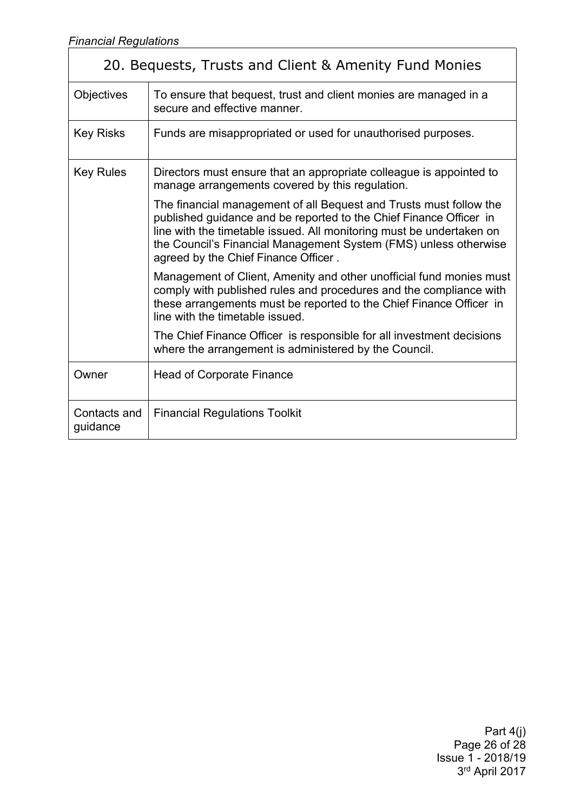| 20. Bequests, Trusts and Client & Amenity Fund Monies |                                                                                                                                                                                                                                                                                                                              |
|-------------------------------------------------------|------------------------------------------------------------------------------------------------------------------------------------------------------------------------------------------------------------------------------------------------------------------------------------------------------------------------------|
| Objectives                                            | To ensure that bequest, trust and client monies are managed in a<br>secure and effective manner.                                                                                                                                                                                                                             |
| <b>Key Risks</b>                                      | Funds are misappropriated or used for unauthorised purposes.                                                                                                                                                                                                                                                                 |
| <b>Key Rules</b>                                      | Directors must ensure that an appropriate colleague is appointed to<br>manage arrangements covered by this regulation.                                                                                                                                                                                                       |
|                                                       | The financial management of all Bequest and Trusts must follow the<br>published guidance and be reported to the Chief Finance Officer in<br>line with the timetable issued. All monitoring must be undertaken on<br>the Council's Financial Management System (FMS) unless otherwise<br>agreed by the Chief Finance Officer. |
|                                                       | Management of Client, Amenity and other unofficial fund monies must<br>comply with published rules and procedures and the compliance with<br>these arrangements must be reported to the Chief Finance Officer in<br>line with the timetable issued.                                                                          |
|                                                       | The Chief Finance Officer is responsible for all investment decisions<br>where the arrangement is administered by the Council.                                                                                                                                                                                               |
| Owner                                                 | <b>Head of Corporate Finance</b>                                                                                                                                                                                                                                                                                             |
| Contacts and<br>guidance                              | <b>Financial Regulations Toolkit</b>                                                                                                                                                                                                                                                                                         |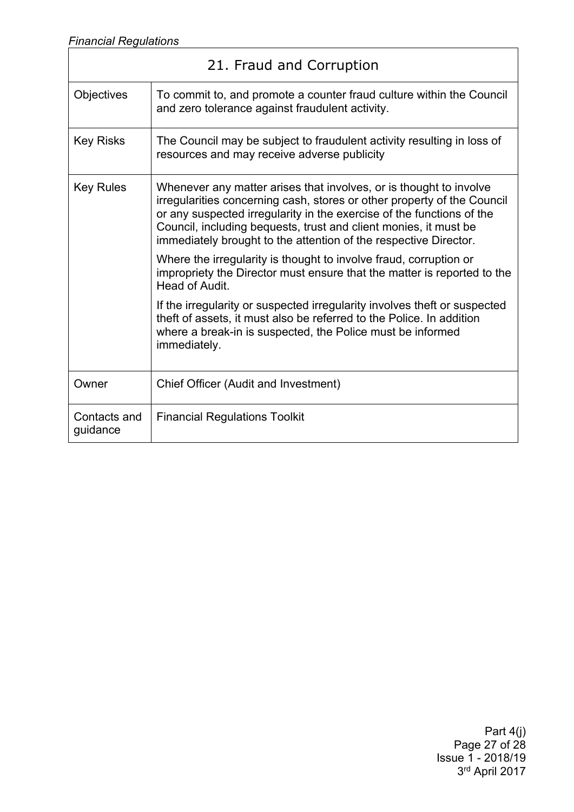| 21. Fraud and Corruption |                                                                                                                                                                                                                                                                                                                                                                |  |
|--------------------------|----------------------------------------------------------------------------------------------------------------------------------------------------------------------------------------------------------------------------------------------------------------------------------------------------------------------------------------------------------------|--|
| Objectives               | To commit to, and promote a counter fraud culture within the Council<br>and zero tolerance against fraudulent activity.                                                                                                                                                                                                                                        |  |
| <b>Key Risks</b>         | The Council may be subject to fraudulent activity resulting in loss of<br>resources and may receive adverse publicity                                                                                                                                                                                                                                          |  |
| <b>Key Rules</b>         | Whenever any matter arises that involves, or is thought to involve<br>irregularities concerning cash, stores or other property of the Council<br>or any suspected irregularity in the exercise of the functions of the<br>Council, including bequests, trust and client monies, it must be<br>immediately brought to the attention of the respective Director. |  |
|                          | Where the irregularity is thought to involve fraud, corruption or<br>impropriety the Director must ensure that the matter is reported to the<br>Head of Audit.                                                                                                                                                                                                 |  |
|                          | If the irregularity or suspected irregularity involves theft or suspected<br>theft of assets, it must also be referred to the Police. In addition<br>where a break-in is suspected, the Police must be informed<br>immediately.                                                                                                                                |  |
| Owner                    | Chief Officer (Audit and Investment)                                                                                                                                                                                                                                                                                                                           |  |
| Contacts and<br>guidance | <b>Financial Regulations Toolkit</b>                                                                                                                                                                                                                                                                                                                           |  |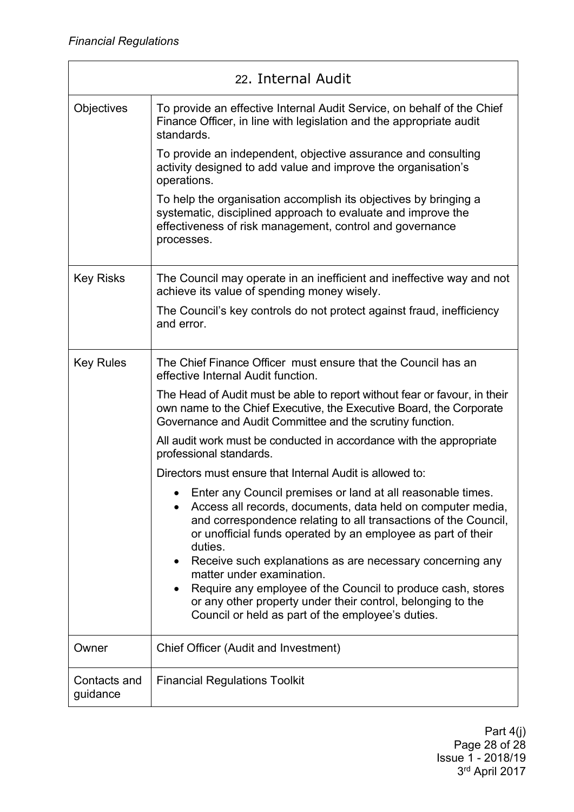|                          | 22. Internal Audit                                                                                                                                                                                                                                                                                                                                                 |  |  |
|--------------------------|--------------------------------------------------------------------------------------------------------------------------------------------------------------------------------------------------------------------------------------------------------------------------------------------------------------------------------------------------------------------|--|--|
| Objectives               | To provide an effective Internal Audit Service, on behalf of the Chief<br>Finance Officer, in line with legislation and the appropriate audit<br>standards.                                                                                                                                                                                                        |  |  |
|                          | To provide an independent, objective assurance and consulting<br>activity designed to add value and improve the organisation's<br>operations.                                                                                                                                                                                                                      |  |  |
|                          | To help the organisation accomplish its objectives by bringing a<br>systematic, disciplined approach to evaluate and improve the<br>effectiveness of risk management, control and governance<br>processes.                                                                                                                                                         |  |  |
| <b>Key Risks</b>         | The Council may operate in an inefficient and ineffective way and not<br>achieve its value of spending money wisely.                                                                                                                                                                                                                                               |  |  |
|                          | The Council's key controls do not protect against fraud, inefficiency<br>and error.                                                                                                                                                                                                                                                                                |  |  |
| <b>Key Rules</b>         | The Chief Finance Officer must ensure that the Council has an<br>effective Internal Audit function.                                                                                                                                                                                                                                                                |  |  |
|                          | The Head of Audit must be able to report without fear or favour, in their<br>own name to the Chief Executive, the Executive Board, the Corporate<br>Governance and Audit Committee and the scrutiny function.                                                                                                                                                      |  |  |
|                          | All audit work must be conducted in accordance with the appropriate<br>professional standards.                                                                                                                                                                                                                                                                     |  |  |
|                          | Directors must ensure that Internal Audit is allowed to:                                                                                                                                                                                                                                                                                                           |  |  |
|                          | Enter any Council premises or land at all reasonable times.<br>Access all records, documents, data held on computer media,<br>and correspondence relating to all transactions of the Council,<br>or unofficial funds operated by an employee as part of their<br>duties.<br>Receive such explanations as are necessary concerning any<br>matter under examination. |  |  |
|                          | Require any employee of the Council to produce cash, stores<br>or any other property under their control, belonging to the<br>Council or held as part of the employee's duties.                                                                                                                                                                                    |  |  |
| Owner                    | Chief Officer (Audit and Investment)                                                                                                                                                                                                                                                                                                                               |  |  |
| Contacts and<br>guidance | <b>Financial Regulations Toolkit</b>                                                                                                                                                                                                                                                                                                                               |  |  |

Part 4(j) Page 28 of 28 Issue 1 - 2018/19 3 rd April 2017